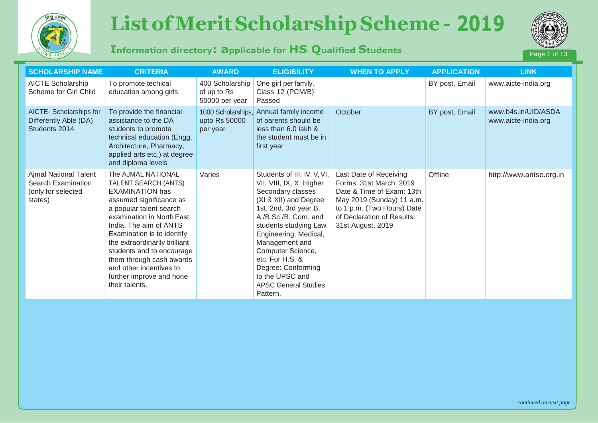

# *List of Merit Scholarship Scheme - 2017 (Information directory: Applicablefor HS Qualified Students)* Page 1 of13 **ELIGIBILITY ELIGIBILITY CONSULTING CONSULTING 1998**



## **Information directory: applicable for HS Qualified Students**



| <b>SCHOLARSHIP NAME</b>                                                      | <b>CRITERIA</b>                                                                                                                                                                                                                                                                                                                                                                    | <b>AWARD</b>                                     | <b>ELIGIBILITY</b>                                                                                                                                                                                                                                                                                                                                      | <b>WHEN TO APPLY</b>                                                                                                                                                                         | <b>APPLICATION</b> | <b>LINK</b>                                |
|------------------------------------------------------------------------------|------------------------------------------------------------------------------------------------------------------------------------------------------------------------------------------------------------------------------------------------------------------------------------------------------------------------------------------------------------------------------------|--------------------------------------------------|---------------------------------------------------------------------------------------------------------------------------------------------------------------------------------------------------------------------------------------------------------------------------------------------------------------------------------------------------------|----------------------------------------------------------------------------------------------------------------------------------------------------------------------------------------------|--------------------|--------------------------------------------|
| <b>AICTE Scholarship</b><br>Scheme for Girl Child                            | To promote techical<br>education among girls                                                                                                                                                                                                                                                                                                                                       | 400 Scholarship<br>of up to Rs<br>50000 per year | One girl per family,<br>Class 12 (PCM/B)<br>Passed                                                                                                                                                                                                                                                                                                      |                                                                                                                                                                                              | BY post, Email     | www.aicte-india.org                        |
| AICTE-Scholarships for<br>Differently Able (DA)<br>Students 2014             | To provide the financial<br>assistance to the DA<br>students to promote<br>technical education (Engg,<br>Architecture, Pharmacy,<br>applied arts etc.) at degree<br>and diploma levels                                                                                                                                                                                             | 1000 Scholarships,<br>upto Rs 50000<br>per year  | Annual family income<br>of parents should be<br>less than 6.0 lakh &<br>the student must be in<br>first year                                                                                                                                                                                                                                            | October                                                                                                                                                                                      | BY post, Email     | www.b4s.in/UID/ASDA<br>www.aicte-india.org |
| Ajmal National Talent<br>Search Examination<br>(only for selected<br>states) | The AJMAL NATIONAL<br>TALENT SEARCH (ANTS)<br><b>EXAMINATION has</b><br>assumed significance as<br>a popular talent search<br>examination in North East<br>India. The aim of ANTS<br>Examination is to identify<br>the extraordinarily brilliant<br>students and to encourage<br>them through cash awards<br>and other incentives to<br>further improve and hone<br>their talents. | Varies                                           | Students of III, IV, V, VI,<br>VII, VIII, IX, X, Higher<br>Secondary classes<br>(XI & XII) and Degree<br>1st, 2nd, 3rd year B.<br>A./B.Sc./B. Com. and<br>students studying Law,<br>Engineering, Medical,<br>Management and<br>Computer Science,<br>etc. For H.S. &<br>Degree: Conforming<br>to the UPSC and<br><b>APSC General Studies</b><br>Pattern. | Last Date of Receiving<br>Forms: 31st March, 2019<br>Date & Time of Exam: 13th<br>May 2019 (Sunday) 11 a.m.<br>to 1 p.m. (Two Hours) Date<br>of Declaration of Results:<br>31st August, 2019 | Offline            | http://www.antse.org.in                    |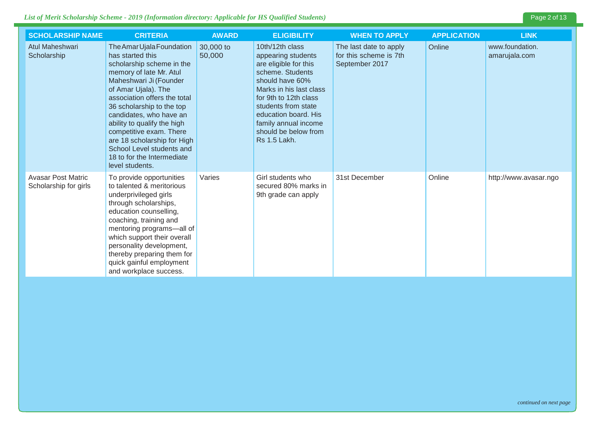### *List of Merit Scholarship Scheme - 2019 (Information directory: Applicable for HS Qualified Students)* Page 2 of 13

| <b>SCHOLARSHIP NAME</b>                            | <b>CRITERIA</b>                                                                                                                                                                                                                                                                                                                                                                                                       | <b>AWARD</b>        | <b>ELIGIBILITY</b>                                                                                                                                                                                                                                                       | <b>WHEN TO APPLY</b>                                               | <b>APPLICATION</b> | <b>LINK</b>                      |
|----------------------------------------------------|-----------------------------------------------------------------------------------------------------------------------------------------------------------------------------------------------------------------------------------------------------------------------------------------------------------------------------------------------------------------------------------------------------------------------|---------------------|--------------------------------------------------------------------------------------------------------------------------------------------------------------------------------------------------------------------------------------------------------------------------|--------------------------------------------------------------------|--------------------|----------------------------------|
| Atul Maheshwari<br>Scholarship                     | The Amar Ujala Foundation<br>has started this<br>scholarship scheme in the<br>memory of late Mr. Atul<br>Maheshwari Ji (Founder<br>of Amar Ujala). The<br>association offers the total<br>36 scholarship to the top<br>candidates, who have an<br>ability to qualify the high<br>competitive exam. There<br>are 18 scholarship for High<br>School Level students and<br>18 to for the Intermediate<br>level students. | 30,000 to<br>50,000 | 10th/12th class<br>appearing students<br>are eligible for this<br>scheme. Students<br>should have 60%<br>Marks in his last class<br>for 9th to 12th class<br>students from state<br>education board. His<br>family annual income<br>should be below from<br>Rs 1.5 Lakh. | The last date to apply<br>for this scheme is 7th<br>September 2017 | Online             | www.foundation.<br>amarujala.com |
| <b>Avasar Post Matric</b><br>Scholarship for girls | To provide opportunities<br>to talented & meritorious<br>underprivileged girls<br>through scholarships,<br>education counselling,<br>coaching, training and<br>mentoring programs-all of<br>which support their overall<br>personality development,<br>thereby preparing them for<br>quick gainful employment<br>and workplace success.                                                                               | Varies              | Girl students who<br>secured 80% marks in<br>9th grade can apply                                                                                                                                                                                                         | 31st December                                                      | Online             | http://www.avasar.ngo            |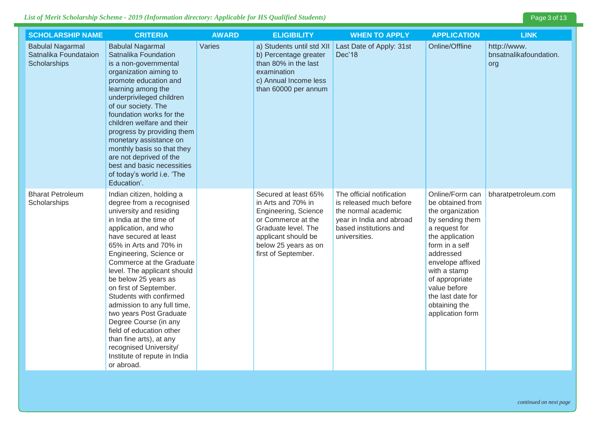### *List of Merit Scholarship Scheme - 2019 (Information directory: Applicable for HS Qualified Students)* Page 3 of 13

| <b>SCHOLARSHIP NAME</b>                                          | <b>CRITERIA</b>                                                                                                                                                                                                                                                                                                                                                                                                                                                                                                                                                             | <b>AWARD</b> | <b>ELIGIBILITY</b>                                                                                                                                                                    | <b>WHEN TO APPLY</b>                                                                                                                               | <b>APPLICATION</b>                                                                                                                                                                                                                                                            | <b>LINK</b>                                  |
|------------------------------------------------------------------|-----------------------------------------------------------------------------------------------------------------------------------------------------------------------------------------------------------------------------------------------------------------------------------------------------------------------------------------------------------------------------------------------------------------------------------------------------------------------------------------------------------------------------------------------------------------------------|--------------|---------------------------------------------------------------------------------------------------------------------------------------------------------------------------------------|----------------------------------------------------------------------------------------------------------------------------------------------------|-------------------------------------------------------------------------------------------------------------------------------------------------------------------------------------------------------------------------------------------------------------------------------|----------------------------------------------|
| <b>Babulal Nagarmal</b><br>Satnalika Foundataion<br>Scholarships | <b>Babulal Nagarmal</b><br>Satnalika Foundation<br>is a non-governmental<br>organization aiming to<br>promote education and<br>learning among the<br>underprivileged children<br>of our society. The<br>foundation works for the<br>children welfare and their<br>progress by providing them<br>monetary assistance on<br>monthly basis so that they<br>are not deprived of the<br>best and basic necessities<br>of today's world i.e. 'The<br>Education'.                                                                                                                  | Varies       | a) Students until std XII<br>b) Percentage greater<br>than 80% in the last<br>examination<br>c) Annual Income less<br>than 60000 per annum                                            | Last Date of Apply: 31st<br>Dec'18                                                                                                                 | Online/Offline                                                                                                                                                                                                                                                                | http://www.<br>bnsatnalikafoundation.<br>org |
| <b>Bharat Petroleum</b><br>Scholarships                          | Indian citizen, holding a<br>degree from a recognised<br>university and residing<br>in India at the time of<br>application, and who<br>have secured at least<br>65% in Arts and 70% in<br>Engineering, Science or<br>Commerce at the Graduate<br>level. The applicant should<br>be below 25 years as<br>on first of September.<br>Students with confirmed<br>admission to any full time,<br>two years Post Graduate<br>Degree Course (in any<br>field of education other<br>than fine arts), at any<br>recognised University/<br>Institute of repute in India<br>or abroad. |              | Secured at least 65%<br>in Arts and 70% in<br>Engineering, Science<br>or Commerce at the<br>Graduate level. The<br>applicant should be<br>below 25 years as on<br>first of September. | The official notification<br>is released much before<br>the normal academic<br>year in India and abroad<br>based institutions and<br>universities. | Online/Form can<br>be obtained from<br>the organization<br>by sending them<br>a request for<br>the application<br>form in a self<br>addressed<br>envelope affixed<br>with a stamp<br>of appropriate<br>value before<br>the last date for<br>obtaining the<br>application form | bharatpetroleum.com                          |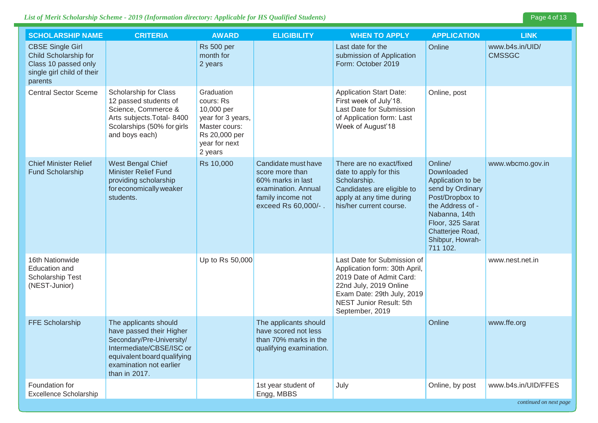| <b>SCHOLARSHIP NAME</b>                                                                                           | <b>CRITERIA</b>                                                                                                                                                                       | <b>AWARD</b>                                                                                                             | <b>ELIGIBILITY</b>                                                                                                             | <b>WHEN TO APPLY</b>                                                                                                                                                                                  | <b>APPLICATION</b>                                                                                                                                                                             | <b>LINK</b>                      |
|-------------------------------------------------------------------------------------------------------------------|---------------------------------------------------------------------------------------------------------------------------------------------------------------------------------------|--------------------------------------------------------------------------------------------------------------------------|--------------------------------------------------------------------------------------------------------------------------------|-------------------------------------------------------------------------------------------------------------------------------------------------------------------------------------------------------|------------------------------------------------------------------------------------------------------------------------------------------------------------------------------------------------|----------------------------------|
| <b>CBSE Single Girl</b><br>Child Scholarship for<br>Class 10 passed only<br>single girl child of their<br>parents |                                                                                                                                                                                       | <b>Rs 500 per</b><br>month for<br>2 years                                                                                |                                                                                                                                | Last date for the<br>submission of Application<br>Form: October 2019                                                                                                                                  | Online                                                                                                                                                                                         | www.b4s.in/UID/<br><b>CMSSGC</b> |
| <b>Central Sector Sceme</b>                                                                                       | Scholarship for Class<br>12 passed students of<br>Science, Commerce &<br>Arts subjects. Total- 8400<br>Scolarships (50% for girls<br>and boys each)                                   | Graduation<br>cours: Rs<br>10,000 per<br>year for 3 years,<br>Master cours:<br>Rs 20,000 per<br>year for next<br>2 years |                                                                                                                                | <b>Application Start Date:</b><br>First week of July'18.<br>Last Date for Submission<br>of Application form: Last<br>Week of August'18                                                                | Online, post                                                                                                                                                                                   |                                  |
| <b>Chief Minister Relief</b><br><b>Fund Scholarship</b>                                                           | West Bengal Chief<br>Minister Relief Fund<br>providing scholarship<br>for economically weaker<br>students.                                                                            | Rs 10,000                                                                                                                | Candidate must have<br>score more than<br>60% marks in last<br>examination. Annual<br>family income not<br>exceed Rs 60,000/-. | There are no exact/fixed<br>date to apply for this<br>Scholarship.<br>Candidates are eligible to<br>apply at any time during<br>his/her current course.                                               | Online/<br>Downloaded<br>Application to be<br>send by Ordinary<br>Post/Dropbox to<br>the Address of -<br>Nabanna, 14th<br>Floor, 325 Sarat<br>Chatterjee Road,<br>Shibpur, Howrah-<br>711 102. | www.wbcmo.gov.in                 |
| 16th Nationwide<br>Education and<br>Scholarship Test<br>(NEST-Junior)                                             |                                                                                                                                                                                       | Up to Rs 50,000                                                                                                          |                                                                                                                                | Last Date for Submission of<br>Application form: 30th April,<br>2019 Date of Admit Card:<br>22nd July, 2019 Online<br>Exam Date: 29th July, 2019<br><b>NEST Junior Result: 5th</b><br>September, 2019 |                                                                                                                                                                                                | www.nest.net.in                  |
| FFE Scholarship                                                                                                   | The applicants should<br>have passed their Higher<br>Secondary/Pre-University/<br>Intermediate/CBSE/ISC or<br>equivalent board qualifying<br>examination not earlier<br>than in 2017. |                                                                                                                          | The applicants should<br>have scored not less<br>than 70% marks in the<br>qualifying examination.                              |                                                                                                                                                                                                       | Online                                                                                                                                                                                         | www.ffe.org                      |
| Foundation for<br><b>Excellence Scholarship</b>                                                                   |                                                                                                                                                                                       |                                                                                                                          | 1st year student of<br>Engg, MBBS                                                                                              | July                                                                                                                                                                                                  | Online, by post                                                                                                                                                                                | www.b4s.in/UID/FFES              |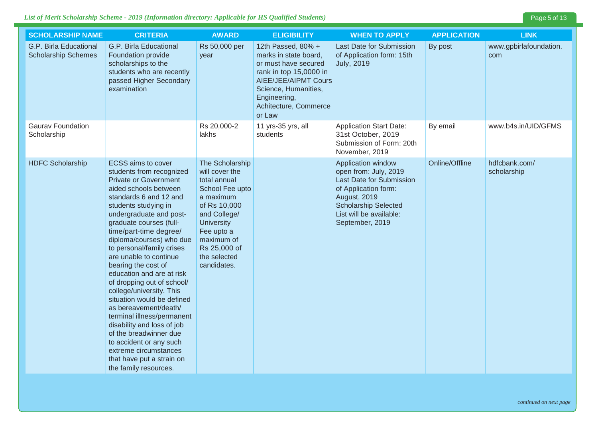### *List of Merit Scholarship Scheme - 2019 (Information directory: Applicable for HS Qualified Students)* Page 5 of 13

| <b>SCHOLARSHIP NAME</b>                              | <b>CRITERIA</b>                                                                                                                                                                                                                                                                                                                                                                                                                                                                                                                                                                                                                                                                                          | <b>AWARD</b>                                                                                                                                                                                                      | <b>ELIGIBILITY</b>                                                                                                                                                                               | <b>WHEN TO APPLY</b>                                                                                                                                                                         | <b>APPLICATION</b> | <b>LINK</b>                   |
|------------------------------------------------------|----------------------------------------------------------------------------------------------------------------------------------------------------------------------------------------------------------------------------------------------------------------------------------------------------------------------------------------------------------------------------------------------------------------------------------------------------------------------------------------------------------------------------------------------------------------------------------------------------------------------------------------------------------------------------------------------------------|-------------------------------------------------------------------------------------------------------------------------------------------------------------------------------------------------------------------|--------------------------------------------------------------------------------------------------------------------------------------------------------------------------------------------------|----------------------------------------------------------------------------------------------------------------------------------------------------------------------------------------------|--------------------|-------------------------------|
| G.P. Birla Educational<br><b>Scholarship Schemes</b> | G.P. Birla Educational<br>Foundation provide<br>scholarships to the<br>students who are recently<br>passed Higher Secondary<br>examination                                                                                                                                                                                                                                                                                                                                                                                                                                                                                                                                                               | Rs 50,000 per<br>year                                                                                                                                                                                             | 12th Passed, 80% +<br>marks in state board,<br>or must have secured<br>rank in top 15,0000 in<br>AIEE/JEE/AIPMT Cours<br>Science, Humanities,<br>Engineering,<br>Achitecture, Commerce<br>or Law | Last Date for Submission<br>of Application form: 15th<br><b>July, 2019</b>                                                                                                                   | By post            | www.gpbirlafoundation.<br>com |
| <b>Gaurav Foundation</b><br>Scholarship              |                                                                                                                                                                                                                                                                                                                                                                                                                                                                                                                                                                                                                                                                                                          | Rs 20,000-2<br>lakhs                                                                                                                                                                                              | 11 yrs-35 yrs, all<br>students                                                                                                                                                                   | <b>Application Start Date:</b><br>31st October, 2019<br>Submission of Form: 20th<br>November, 2019                                                                                           | By email           | www.b4s.in/UID/GFMS           |
| <b>HDFC Scholarship</b>                              | <b>ECSS</b> aims to cover<br>students from recognized<br><b>Private or Government</b><br>aided schools between<br>standards 6 and 12 and<br>students studying in<br>undergraduate and post-<br>graduate courses (full-<br>time/part-time degree/<br>diploma/courses) who due<br>to personal/family crises<br>are unable to continue<br>bearing the cost of<br>education and are at risk<br>of dropping out of school/<br>college/university. This<br>situation would be defined<br>as bereavement/death/<br>terminal illness/permanent<br>disability and loss of job<br>of the breadwinner due<br>to accident or any such<br>extreme circumstances<br>that have put a strain on<br>the family resources. | The Scholarship<br>will cover the<br>total annual<br>School Fee upto<br>a maximum<br>of Rs 10,000<br>and College/<br><b>University</b><br>Fee upto a<br>maximum of<br>Rs 25,000 of<br>the selected<br>candidates. |                                                                                                                                                                                                  | Application window<br>open from: July, 2019<br>Last Date for Submission<br>of Application form:<br>August, 2019<br><b>Scholarship Selected</b><br>List will be available:<br>September, 2019 | Online/Offline     | hdfcbank.com/<br>scholarship  |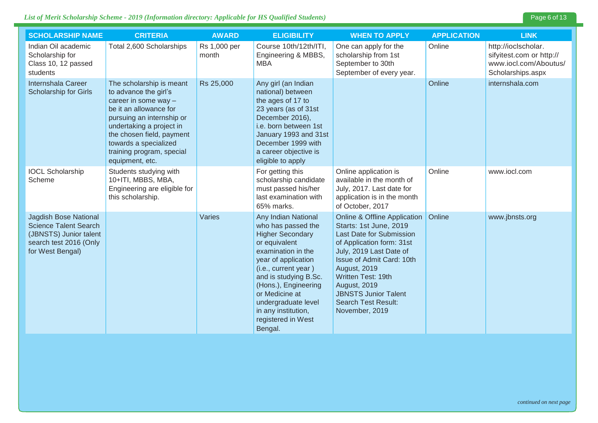### *List of Merit Scholarship Scheme - 2019 (Information directory: Applicable for HS Qualified Students)* Page 6 of 13

| <b>SCHOLARSHIP NAME</b>                                                                                                              | <b>CRITERIA</b>                                                                                                                                                                                                                                                    | <b>AWARD</b>          | <b>ELIGIBILITY</b>                                                                                                                                                                                                                                                                                           | <b>WHEN TO APPLY</b>                                                                                                                                                                                                                                                                                                                  | <b>APPLICATION</b> | <b>LINK</b>                                                                                   |
|--------------------------------------------------------------------------------------------------------------------------------------|--------------------------------------------------------------------------------------------------------------------------------------------------------------------------------------------------------------------------------------------------------------------|-----------------------|--------------------------------------------------------------------------------------------------------------------------------------------------------------------------------------------------------------------------------------------------------------------------------------------------------------|---------------------------------------------------------------------------------------------------------------------------------------------------------------------------------------------------------------------------------------------------------------------------------------------------------------------------------------|--------------------|-----------------------------------------------------------------------------------------------|
| Indian Oil academic<br>Scholarship for<br>Class 10, 12 passed<br>students                                                            | Total 2,600 Scholarships                                                                                                                                                                                                                                           | Rs 1,000 per<br>month | Course 10th/12th/ITI,<br>Engineering & MBBS,<br><b>MBA</b>                                                                                                                                                                                                                                                   | One can apply for the<br>scholarship from 1st<br>September to 30th<br>September of every year.                                                                                                                                                                                                                                        | Online             | http://ioclscholar.<br>sifyitest.com or http://<br>www.iocl.com/Aboutus/<br>Scholarships.aspx |
| Internshala Career<br>Scholarship for Girls                                                                                          | The scholarship is meant<br>to advance the girl's<br>career in some way -<br>be it an allowance for<br>pursuing an internship or<br>undertaking a project in<br>the chosen field, payment<br>towards a specialized<br>training program, special<br>equipment, etc. | Rs 25,000             | Any girl (an Indian<br>national) between<br>the ages of 17 to<br>23 years (as of 31st<br>December 2016),<br>i.e. born between 1st<br>January 1993 and 31st<br>December 1999 with<br>a career objective is<br>eligible to apply                                                                               |                                                                                                                                                                                                                                                                                                                                       | Online             | internshala.com                                                                               |
| <b>IOCL Scholarship</b><br>Scheme                                                                                                    | Students studying with<br>10+ITI, MBBS, MBA,<br>Engineering are eligible for<br>this scholarship.                                                                                                                                                                  |                       | For getting this<br>scholarship candidate<br>must passed his/her<br>last examination with<br>65% marks.                                                                                                                                                                                                      | Online application is<br>available in the month of<br>July, 2017. Last date for<br>application is in the month<br>of October, 2017                                                                                                                                                                                                    | Online             | www.iocl.com                                                                                  |
| <b>Jagdish Bose National</b><br><b>Science Talent Search</b><br>(JBNSTS) Junior talent<br>search test 2016 (Only<br>for West Bengal) |                                                                                                                                                                                                                                                                    | Varies                | Any Indian National<br>who has passed the<br><b>Higher Secondary</b><br>or equivalent<br>examination in the<br>year of application<br>(i.e., current year)<br>and is studying B.Sc.<br>(Hons.), Engineering<br>or Medicine at<br>undergraduate level<br>in any institution,<br>registered in West<br>Bengal. | <b>Online &amp; Offline Application</b><br>Starts: 1st June, 2019<br><b>Last Date for Submission</b><br>of Application form: 31st<br>July, 2019 Last Date of<br>Issue of Admit Card: 10th<br>August, 2019<br>Written Test: 19th<br><b>August, 2019</b><br><b>JBNSTS Junior Talent</b><br><b>Search Test Result:</b><br>November, 2019 | Online             | www.jbnsts.org                                                                                |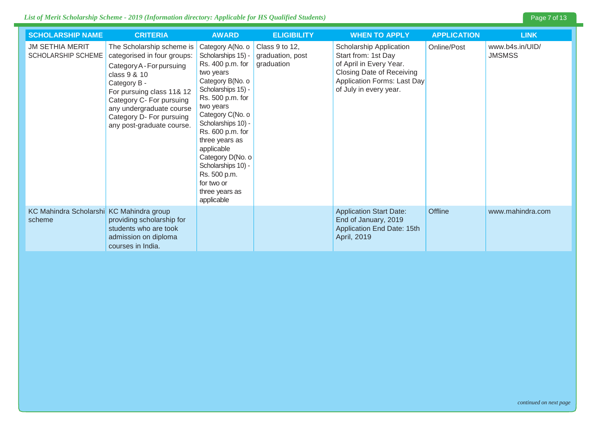| <b>SCHOLARSHIP NAME</b>                             | <b>CRITERIA</b>                                                                                                                                                                                                                                                     | <b>AWARD</b>                                                                                                                                                                                                                                                                                                                                             | <b>ELIGIBILITY</b>                               | <b>WHEN TO APPLY</b>                                                                                                                                                   | <b>APPLICATION</b> | <b>LINK</b>                      |
|-----------------------------------------------------|---------------------------------------------------------------------------------------------------------------------------------------------------------------------------------------------------------------------------------------------------------------------|----------------------------------------------------------------------------------------------------------------------------------------------------------------------------------------------------------------------------------------------------------------------------------------------------------------------------------------------------------|--------------------------------------------------|------------------------------------------------------------------------------------------------------------------------------------------------------------------------|--------------------|----------------------------------|
| <b>JM SETHIA MERIT</b><br><b>SCHOLARSHIP SCHEME</b> | The Scholarship scheme is<br>categorised in four groups:<br>Category A - For pursuing<br>class 9 & 10<br>Category B -<br>For pursuing class 11& 12<br>Category C- For pursuing<br>any undergraduate course<br>Category D- For pursuing<br>any post-graduate course. | Category A(No. o<br>Scholarships 15) -<br>Rs. 400 p.m. for<br>two years<br>Category B(No. o<br>Scholarships 15) -<br>Rs. 500 p.m. for<br>two years<br>Category C(No. o<br>Scholarships 10) -<br>Rs. 600 p.m. for<br>three years as<br>applicable<br>Category D(No. o<br>Scholarships 10) -<br>Rs. 500 p.m.<br>for two or<br>three years as<br>applicable | Class 9 to 12,<br>graduation, post<br>graduation | Scholarship Application<br>Start from: 1st Day<br>of April in Every Year.<br><b>Closing Date of Receiving</b><br>Application Forms: Last Day<br>of July in every year. | Online/Post        | www.b4s.in/UID/<br><b>JMSMSS</b> |
| KC Mahindra Scholarshi KC Mahindra group<br>scheme  | providing scholarship for<br>students who are took<br>admission on diploma<br>courses in India.                                                                                                                                                                     |                                                                                                                                                                                                                                                                                                                                                          |                                                  | <b>Application Start Date:</b><br>End of January, 2019<br>Application End Date: 15th<br>April, 2019                                                                    | Offline            | www.mahindra.com                 |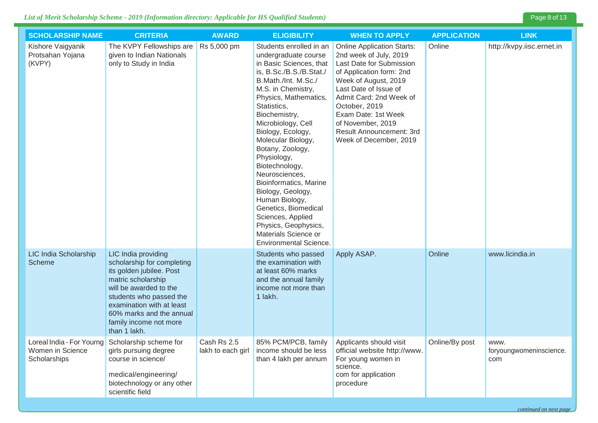| <b>SCHOLARSHIP NAME</b>                         | <b>CRITERIA</b>                                                                                                                                                                                                                                             | <b>AWARD</b>                     | <b>ELIGIBILITY</b>                                                                                                                                                                                                                                                                                                                                                                                                                                                                                                                                 | <b>WHEN TO APPLY</b>                                                                                                                                                                                                                                                                                               | <b>APPLICATION</b> | <b>LINK</b>                            |
|-------------------------------------------------|-------------------------------------------------------------------------------------------------------------------------------------------------------------------------------------------------------------------------------------------------------------|----------------------------------|----------------------------------------------------------------------------------------------------------------------------------------------------------------------------------------------------------------------------------------------------------------------------------------------------------------------------------------------------------------------------------------------------------------------------------------------------------------------------------------------------------------------------------------------------|--------------------------------------------------------------------------------------------------------------------------------------------------------------------------------------------------------------------------------------------------------------------------------------------------------------------|--------------------|----------------------------------------|
| Kishore Vaigyanik<br>Protsahan Yojana<br>(KVPY) | The KVPY Fellowships are<br>given to Indian Nationals<br>only to Study in India                                                                                                                                                                             | Rs 5,000 pm                      | Students enrolled in an<br>undergraduate course<br>in Basic Sciences, that<br>is, B.Sc./B.S./B.Stat./<br>B.Math./Int. M.Sc./<br>M.S. in Chemistry,<br>Physics, Mathematics,<br>Statistics,<br>Biochemistry,<br>Microbiology, Cell<br>Biology, Ecology,<br>Molecular Biology,<br>Botany, Zoology,<br>Physiology,<br>Biotechnology,<br>Neurosciences,<br>Bioinformatics, Marine<br>Biology, Geology,<br>Human Biology,<br>Genetics, Biomedical<br>Sciences, Applied<br>Physics, Geophysics,<br>Materials Science or<br><b>Environmental Science.</b> | <b>Online Application Starts:</b><br>2nd week of July, 2019<br>Last Date for Submission<br>of Application form: 2nd<br>Week of August, 2019<br>Last Date of Issue of<br>Admit Card: 2nd Week of<br>October, 2019<br>Exam Date: 1st Week<br>of November, 2019<br>Result Announcement: 3rd<br>Week of December, 2019 | Online             | http://kvpy.iisc.ernet.in              |
| LIC India Scholarship<br>Scheme                 | LIC India providing<br>scholarship for completing<br>its golden jubilee. Post<br>matric scholarship<br>will be awarded to the<br>students who passed the<br>examination with at least<br>60% marks and the annual<br>family income not more<br>than 1 lakh. |                                  | Students who passed<br>the examination with<br>at least 60% marks<br>and the annual family<br>income not more than<br>1 lakh.                                                                                                                                                                                                                                                                                                                                                                                                                      | Apply ASAP.                                                                                                                                                                                                                                                                                                        | Online             | www.licindia.in                        |
| Women in Science<br>Scholarships                | Loreal India - For Yourng Scholarship scheme for<br>girls pursuing degree<br>course in science/<br>medical/engineering/<br>biotechnology or any other<br>scientific field                                                                                   | Cash Rs 2.5<br>lakh to each girl | 85% PCM/PCB, family<br>income should be less<br>than 4 lakh per annum                                                                                                                                                                                                                                                                                                                                                                                                                                                                              | Applicants should visit<br>official website http://www.<br>For young women in<br>science.<br>com for application<br>procedure                                                                                                                                                                                      | Online/By post     | WWW.<br>foryoungwomeninscience.<br>com |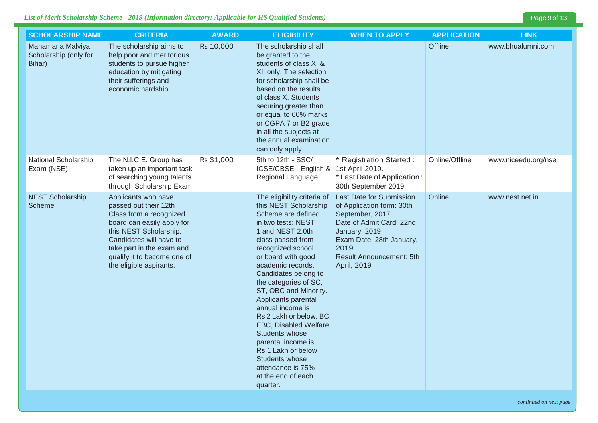### *List of Merit Scholarship Scheme - 2019* (Information directory: Applicable for HS Qualified Students) **Page 9 of 13**

| <b>SCHOLARSHIP NAME</b>                             | <b>CRITERIA</b>                                                                                                                                                                                                                                   | <b>AWARD</b> | <b>ELIGIBILITY</b>                                                                                                                                                                                                                                                                                                                                                                                                                                                                                                        | <b>WHEN TO APPLY</b>                                                                                                                                                                                 | <b>APPLICATION</b> | <b>LINK</b>         |
|-----------------------------------------------------|---------------------------------------------------------------------------------------------------------------------------------------------------------------------------------------------------------------------------------------------------|--------------|---------------------------------------------------------------------------------------------------------------------------------------------------------------------------------------------------------------------------------------------------------------------------------------------------------------------------------------------------------------------------------------------------------------------------------------------------------------------------------------------------------------------------|------------------------------------------------------------------------------------------------------------------------------------------------------------------------------------------------------|--------------------|---------------------|
| Mahamana Malviya<br>Scholarship (only for<br>Bihar) | The scholarship aims to<br>help poor and meritorious<br>students to pursue higher<br>education by mitigating<br>their sufferings and<br>economic hardship.                                                                                        | Rs 10,000    | The scholarship shall<br>be granted to the<br>students of class XI &<br>XII only. The selection<br>for scholarship shall be<br>based on the results<br>of class X. Students<br>securing greater than<br>or equal to 60% marks<br>or CGPA 7 or B2 grade<br>in all the subjects at<br>the annual examination<br>can only apply.                                                                                                                                                                                             |                                                                                                                                                                                                      | <b>Offline</b>     | www.bhualumni.com   |
| National Scholarship<br>Exam (NSE)                  | The N.I.C.E. Group has<br>taken up an important task<br>of searching young talents<br>through Scholarship Exam.                                                                                                                                   | Rs 31,000    | 5th to 12th - SSC/<br>ICSE/CBSE - English &<br>Regional Language                                                                                                                                                                                                                                                                                                                                                                                                                                                          | * Registration Started :<br>1st April 2019.<br>* Last Date of Application:<br>30th September 2019.                                                                                                   | Online/Offline     | www.niceedu.org/nse |
| <b>NEST Scholarship</b><br><b>Scheme</b>            | Applicants who have<br>passed out their 12th<br>Class from a recognized<br>board can easily apply for<br>this NEST Scholarship.<br>Candidates will have to<br>take part in the exam and<br>qualify it to become one of<br>the eligible aspirants. |              | The eligibility criteria of<br>this NEST Scholarship<br>Scheme are defined<br>in two tests: NEST<br>1 and NEST 2.0th<br>class passed from<br>recognized school<br>or board with good<br>academic records.<br>Candidates belong to<br>the categories of SC,<br>ST, OBC and Minority.<br>Applicants parental<br>annual income is<br>Rs 2 Lakh or below. BC,<br>EBC, Disabled Welfare<br>Students whose<br>parental income is<br>Rs 1 Lakh or below<br>Students whose<br>attendance is 75%<br>at the end of each<br>quarter. | Last Date for Submission<br>of Application form: 30th<br>September, 2017<br>Date of Admit Card: 22nd<br>January, 2019<br>Exam Date: 28th January,<br>2019<br>Result Announcement: 5th<br>April, 2019 | Online             | www.nest.net.in     |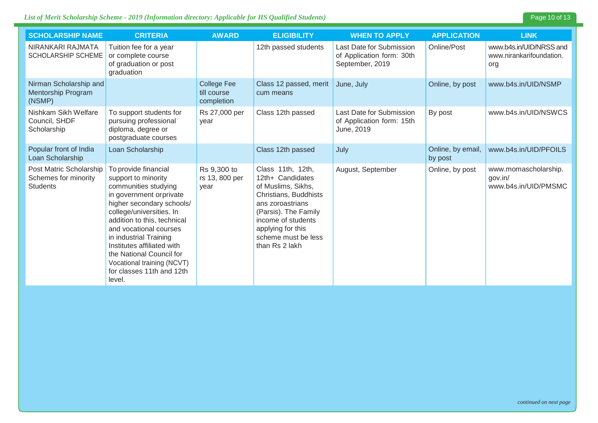#### List of Merit Scholarship Scheme - 2019 (Information directory: Applicable for HS Qualified Students)

| Page 10 of 13 |  |  |
|---------------|--|--|
|               |  |  |

| <b>SCHOLARSHIP NAME</b>                                            | <b>CRITERIA</b>                                                                                                                                                                                                                                                                                                                                                           | <b>AWARD</b>                                    | <b>ELIGIBILITY</b>                                                                                                                                                                                                   | <b>WHEN TO APPLY</b>                                                     | <b>APPLICATION</b>           | <b>LINK</b>                                                |
|--------------------------------------------------------------------|---------------------------------------------------------------------------------------------------------------------------------------------------------------------------------------------------------------------------------------------------------------------------------------------------------------------------------------------------------------------------|-------------------------------------------------|----------------------------------------------------------------------------------------------------------------------------------------------------------------------------------------------------------------------|--------------------------------------------------------------------------|------------------------------|------------------------------------------------------------|
| NIRANKARI RAJMATA<br><b>SCHOLARSHIP SCHEME</b>                     | Tuition fee for a year<br>or complete course<br>of graduation or post<br>graduation                                                                                                                                                                                                                                                                                       |                                                 | 12th passed students                                                                                                                                                                                                 | Last Date for Submission<br>of Application form: 30th<br>September, 2019 | Online/Post                  | www.b4s.in/UID/NRSS and<br>www.nirankarifoundation.<br>org |
| Nirman Scholarship and<br>Mentorship Program<br>(NSMP)             |                                                                                                                                                                                                                                                                                                                                                                           | <b>College Fee</b><br>till course<br>completion | Class 12 passed, merit<br>cum means                                                                                                                                                                                  | June, July                                                               | Online, by post              | www.b4s.in/UID/NSMP                                        |
| Nishkam Sikh Welfare<br>Council, SHDF<br>Scholarship               | To support students for<br>pursuing professional<br>diploma, degree or<br>postgraduate courses                                                                                                                                                                                                                                                                            | Rs 27,000 per<br>year                           | Class 12th passed                                                                                                                                                                                                    | Last Date for Submission<br>of Application form: 15th<br>June, 2019      | By post                      | www.b4s.in/UID/NSWCS                                       |
| Popular front of India<br>Loan Scholarship                         | Loan Scholarship                                                                                                                                                                                                                                                                                                                                                          |                                                 | Class 12th passed                                                                                                                                                                                                    | July                                                                     | Online, by email,<br>by post | www.b4s.in/UID/PFOILS                                      |
| Post Matric Scholarship<br>Schemes for minority<br><b>Students</b> | To provide financial<br>support to minority<br>communities studying<br>in government orprivate<br>higher secondary schools/<br>college/universities. In<br>addition to this, technical<br>and vocational courses<br>in industrial Training<br>Institutes affiliated with<br>the National Council for<br>Vocational training (NCVT)<br>for classes 11th and 12th<br>level. | Rs 9,300 to<br>rs 13, 800 per<br>year           | Class 11th, 12th,<br>12th+ Candidates<br>of Muslims, Sikhs,<br>Christians, Buddhists<br>ans zoroastrians<br>(Parsis). The Family<br>income of students<br>applying for this<br>scheme must be less<br>than Rs 2 lakh | August, September                                                        | Online, by post              | www.momascholarship.<br>gov.in/<br>www.b4s.in/UID/PMSMC    |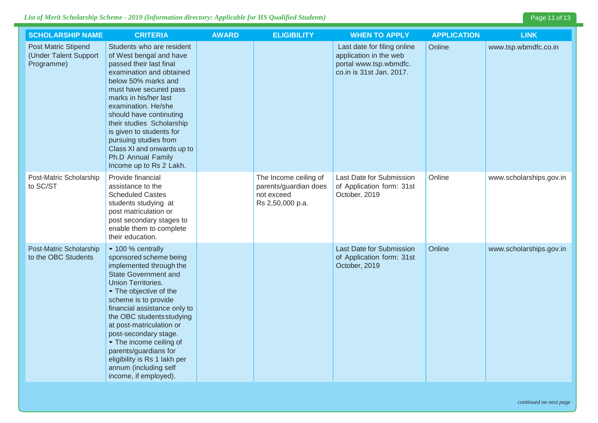### *List of Merit Scholarship Scheme - 2019 (Information directory: Applicable for HS Qualified Students)* Page 11 of 13

| <b>SCHOLARSHIP NAME</b>                                           | <b>CRITERIA</b>                                                                                                                                                                                                                                                                                                                                                                                                                       | <b>AWARD</b> | <b>ELIGIBILITY</b>                                                               | <b>WHEN TO APPLY</b>                                                                                        | <b>APPLICATION</b> | <b>LINK</b>             |
|-------------------------------------------------------------------|---------------------------------------------------------------------------------------------------------------------------------------------------------------------------------------------------------------------------------------------------------------------------------------------------------------------------------------------------------------------------------------------------------------------------------------|--------------|----------------------------------------------------------------------------------|-------------------------------------------------------------------------------------------------------------|--------------------|-------------------------|
| <b>Post Matric Stipend</b><br>(Under Talent Support<br>Programme) | Students who are resident<br>of West bengal and have<br>passed their last final<br>examination and obtained<br>below 50% marks and<br>must have secured pass<br>marks in his/her last<br>examination. He/she<br>should have continuting<br>their studies Scholarship<br>is given to students for<br>pursuing studies from<br>Class XI and onwards up to<br>Ph.D Annual Family<br>Income up to Rs 2 Lakh.                              |              |                                                                                  | Last date for filing online<br>application in the web<br>portal www.tsp.wbmdfc.<br>co.in is 31st Jan. 2017. | Online             | www.tsp.wbmdfc.co.in    |
| Post-Matric Scholarship<br>to SC/ST                               | Provide financial<br>assistance to the<br><b>Scheduled Castes</b><br>students studying at<br>post matriculation or<br>post secondary stages to<br>enable them to complete<br>their education.                                                                                                                                                                                                                                         |              | The Income ceiling of<br>parents/guardian does<br>not exceed<br>Rs 2,50,000 p.a. | Last Date for Submission<br>of Application form: 31st<br>October, 2019                                      | Online             | www.scholarships.gov.in |
| Post-Matric Scholarship<br>to the OBC Students                    | • 100 % centrally<br>sponsored scheme being<br>implemented through the<br><b>State Government and</b><br>Union Territories.<br>• The objective of the<br>scheme is to provide<br>financial assistance only to<br>the OBC students studying<br>at post-matriculation or<br>post-secondary stage.<br>• The income ceiling of<br>parents/guardians for<br>eligibility is Rs 1 lakh per<br>annum (including self<br>income, if employed). |              |                                                                                  | Last Date for Submission<br>of Application form: 31st<br>October, 2019                                      | Online             | www.scholarships.gov.in |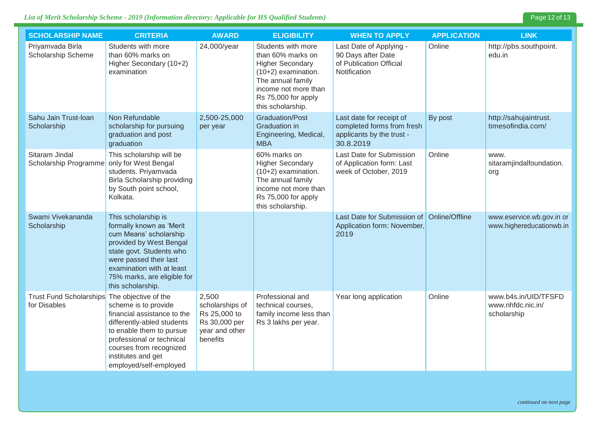### *List of Merit Scholarship Scheme - 2019 (Information directory: Applicable for HS Qualified Students)* Page 12 of 13

| <b>SCHOLARSHIP NAME</b>                                      | <b>CRITERIA</b>                                                                                                                                                                                                                             | <b>AWARD</b>                                                                            | <b>ELIGIBILITY</b>                                                                                                                                                                 | <b>WHEN TO APPLY</b>                                                                             | <b>APPLICATION</b> | <b>LINK</b>                                              |
|--------------------------------------------------------------|---------------------------------------------------------------------------------------------------------------------------------------------------------------------------------------------------------------------------------------------|-----------------------------------------------------------------------------------------|------------------------------------------------------------------------------------------------------------------------------------------------------------------------------------|--------------------------------------------------------------------------------------------------|--------------------|----------------------------------------------------------|
| Priyamvada Birla<br>Scholarship Scheme                       | Students with more<br>than 60% marks on<br>Higher Secondary (10+2)<br>examination                                                                                                                                                           | 24,000/year                                                                             | Students with more<br>than 60% marks on<br><b>Higher Secondary</b><br>(10+2) examination.<br>The annual family<br>income not more than<br>Rs 75,000 for apply<br>this scholarship. | Last Date of Applying -<br>90 Days after Date<br>of Publication Official<br>Notification         | Online             | http://pbs.southpoint.<br>edu.in                         |
| Sahu Jain Trust-Ioan<br>Scholarship                          | Non Refundable<br>scholarship for pursuing<br>graduation and post<br>graduation                                                                                                                                                             | 2,500-25,000<br>per year                                                                | <b>Graduation/Post</b><br><b>Graduation</b> in<br>Engineering, Medical,<br><b>MBA</b>                                                                                              | Last date for receipt of<br>completed forms from fresh<br>applicants by the trust -<br>30.8.2019 | By post            | http://sahujaintrust.<br>timesofindia.com/               |
| Sitaram Jindal<br>Scholarship Programme                      | This scholarship will be<br>only for West Bengal<br>students. Priyamvada<br><b>Birla Scholarship providing</b><br>by South point school,<br>Kolkata.                                                                                        |                                                                                         | 60% marks on<br><b>Higher Secondary</b><br>(10+2) examination.<br>The annual family<br>income not more than<br>Rs 75,000 for apply<br>this scholarship.                            | Last Date for Submission<br>of Application form: Last<br>week of October, 2019                   | Online             | www.<br>sitaramjindalfoundation.<br>org                  |
| Swami Vivekananda<br>Scholarship                             | This scholarship is<br>formally known as 'Merit<br>cum Means' scholarship<br>provided by West Bengal<br>state govt. Students who<br>were passed their last<br>examination with at least<br>75% marks, are eligible for<br>this scholarship. |                                                                                         |                                                                                                                                                                                    | Last Date for Submission of Online/Offline<br>Application form: November,<br>2019                |                    | www.eservice.wb.gov.in or<br>www.highereducationwb.in    |
| Trust Fund Scholarships The objective of the<br>for Disables | scheme is to provide<br>financial assistance to the<br>differently-abled students<br>to enable them to pursue<br>professional or technical<br>courses from recognized<br>institutes and get<br>employed/self-employed                       | 2,500<br>scholarships of<br>Rs 25,000 to<br>Rs 30,000 per<br>year and other<br>benefits | Professional and<br>technical courses,<br>family income less than<br>Rs 3 lakhs per year.                                                                                          | Year long application                                                                            | Online             | www.b4s.in/UID/TFSFD<br>www.nhfdc.nic.in/<br>scholarship |